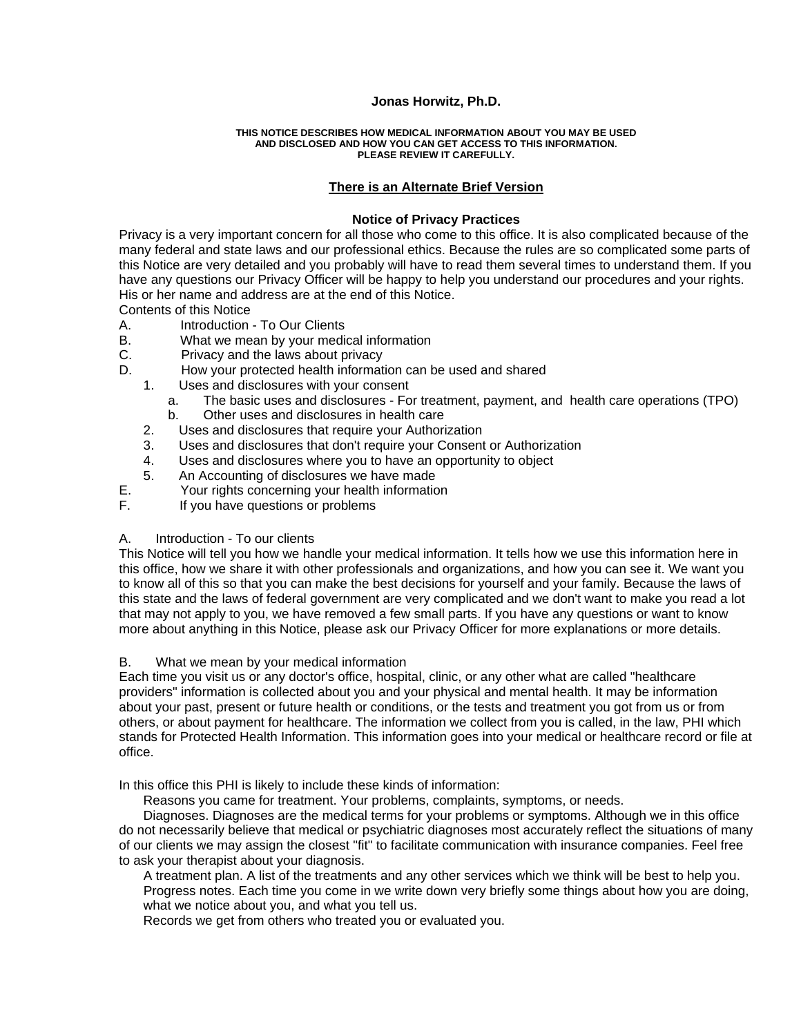## **Jonas Horwitz, Ph.D.**

#### **THIS NOTICE DESCRIBES HOW MEDICAL INFORMATION ABOUT YOU MAY BE USED AND DISCLOSED AND HOW YOU CAN GET ACCESS TO THIS INFORMATION. PLEASE REVIEW IT CAREFULLY.**

## **[There is an Alternate Brief Version](http://prosites-sitgrowpuppy.homestead.com/hipaa2.html)**

#### **Notice of Privacy Practices**

Privacy is a very important concern for all those who come to this office. It is also complicated because of the many federal and state laws and our professional ethics. Because the rules are so complicated some parts of this Notice are very detailed and you probably will have to read them several times to understand them. If you have any questions our Privacy Officer will be happy to help you understand our procedures and your rights. His or her name and address are at the end of this Notice.

Contents of this Notice

- A. Introduction To Our Clients
- B. What we mean by your medical information
- C. Privacy and the laws about privacy
- D. How your protected health information can be used and shared
	- 1. Uses and disclosures with your consent
		- a. The basic uses and disclosures For treatment, payment, and health care operations (TPO) b. Other uses and disclosures in health care
	- 2. Uses and disclosures that require your Authorization
	- 3. Uses and disclosures that don't require your Consent or Authorization
	- 4. Uses and disclosures where you to have an opportunity to object<br>5. An Accounting of disclosures we have made
	- An Accounting of disclosures we have made
- E. Your rights concerning your health information
- F. If you have questions or problems

#### A. Introduction - To our clients

This Notice will tell you how we handle your medical information. It tells how we use this information here in this office, how we share it with other professionals and organizations, and how you can see it. We want you to know all of this so that you can make the best decisions for yourself and your family. Because the laws of this state and the laws of federal government are very complicated and we don't want to make you read a lot that may not apply to you, we have removed a few small parts. If you have any questions or want to know more about anything in this Notice, please ask our Privacy Officer for more explanations or more details.

#### B. What we mean by your medical information

Each time you visit us or any doctor's office, hospital, clinic, or any other what are called "healthcare providers" information is collected about you and your physical and mental health. It may be information about your past, present or future health or conditions, or the tests and treatment you got from us or from others, or about payment for healthcare. The information we collect from you is called, in the law, PHI which stands for Protected Health Information. This information goes into your medical or healthcare record or file at office.

In this office this PHI is likely to include these kinds of information:

Reasons you came for treatment. Your problems, complaints, symptoms, or needs.

 Diagnoses. Diagnoses are the medical terms for your problems or symptoms. Although we in this office do not necessarily believe that medical or psychiatric diagnoses most accurately reflect the situations of many of our clients we may assign the closest "fit" to facilitate communication with insurance companies. Feel free to ask your therapist about your diagnosis.

 A treatment plan. A list of the treatments and any other services which we think will be best to help you. Progress notes. Each time you come in we write down very briefly some things about how you are doing, what we notice about you, and what you tell us.

Records we get from others who treated you or evaluated you.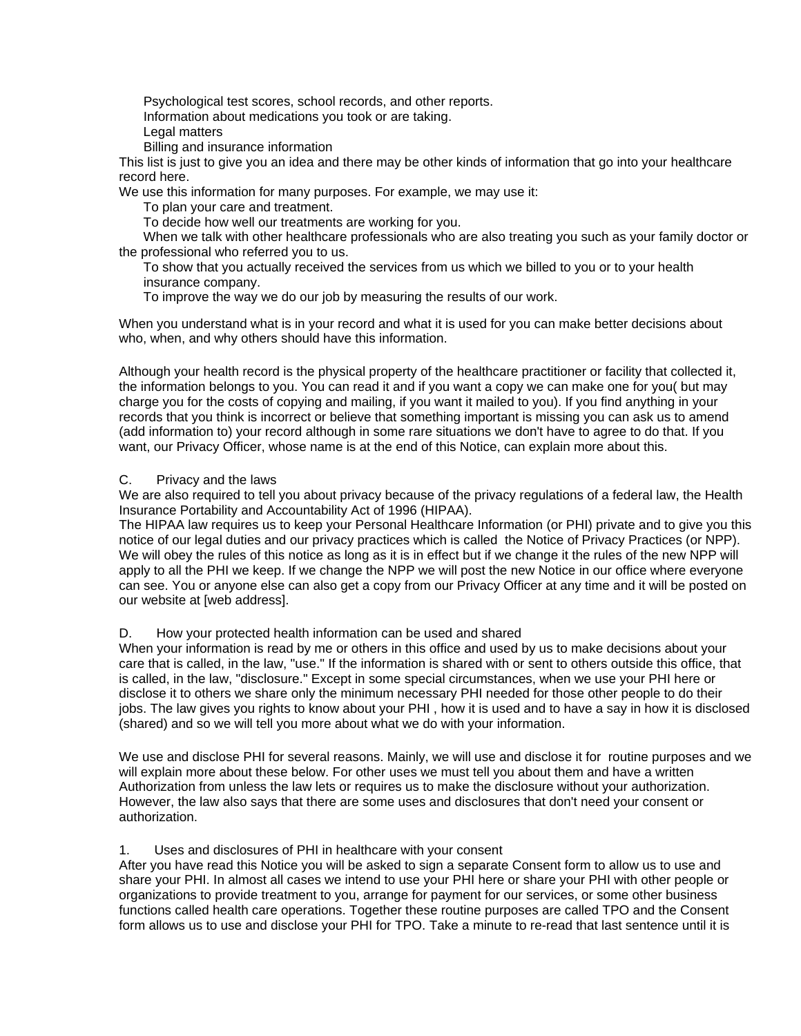Psychological test scores, school records, and other reports.

Information about medications you took or are taking.

- Legal matters
- Billing and insurance information

This list is just to give you an idea and there may be other kinds of information that go into your healthcare record here.

We use this information for many purposes. For example, we may use it:

To plan your care and treatment.

To decide how well our treatments are working for you.

 When we talk with other healthcare professionals who are also treating you such as your family doctor or the professional who referred you to us.

 To show that you actually received the services from us which we billed to you or to your health insurance company.

To improve the way we do our job by measuring the results of our work.

When you understand what is in your record and what it is used for you can make better decisions about who, when, and why others should have this information.

Although your health record is the physical property of the healthcare practitioner or facility that collected it, the information belongs to you. You can read it and if you want a copy we can make one for you( but may charge you for the costs of copying and mailing, if you want it mailed to you). If you find anything in your records that you think is incorrect or believe that something important is missing you can ask us to amend (add information to) your record although in some rare situations we don't have to agree to do that. If you want, our Privacy Officer, whose name is at the end of this Notice, can explain more about this.

# C. Privacy and the laws

We are also required to tell you about privacy because of the privacy regulations of a federal law, the Health Insurance Portability and Accountability Act of 1996 (HIPAA).

The HIPAA law requires us to keep your Personal Healthcare Information (or PHI) private and to give you this notice of our legal duties and our privacy practices which is called the Notice of Privacy Practices (or NPP). We will obey the rules of this notice as long as it is in effect but if we change it the rules of the new NPP will apply to all the PHI we keep. If we change the NPP we will post the new Notice in our office where everyone can see. You or anyone else can also get a copy from our Privacy Officer at any time and it will be posted on our website at [web address].

# D. How your protected health information can be used and shared

When your information is read by me or others in this office and used by us to make decisions about your care that is called, in the law, "use." If the information is shared with or sent to others outside this office, that is called, in the law, "disclosure." Except in some special circumstances, when we use your PHI here or disclose it to others we share only the minimum necessary PHI needed for those other people to do their jobs. The law gives you rights to know about your PHI , how it is used and to have a say in how it is disclosed (shared) and so we will tell you more about what we do with your information.

We use and disclose PHI for several reasons. Mainly, we will use and disclose it for routine purposes and we will explain more about these below. For other uses we must tell you about them and have a written Authorization from unless the law lets or requires us to make the disclosure without your authorization. However, the law also says that there are some uses and disclosures that don't need your consent or authorization.

# 1. Uses and disclosures of PHI in healthcare with your consent

After you have read this Notice you will be asked to sign a separate Consent form to allow us to use and share your PHI. In almost all cases we intend to use your PHI here or share your PHI with other people or organizations to provide treatment to you, arrange for payment for our services, or some other business functions called health care operations. Together these routine purposes are called TPO and the Consent form allows us to use and disclose your PHI for TPO. Take a minute to re-read that last sentence until it is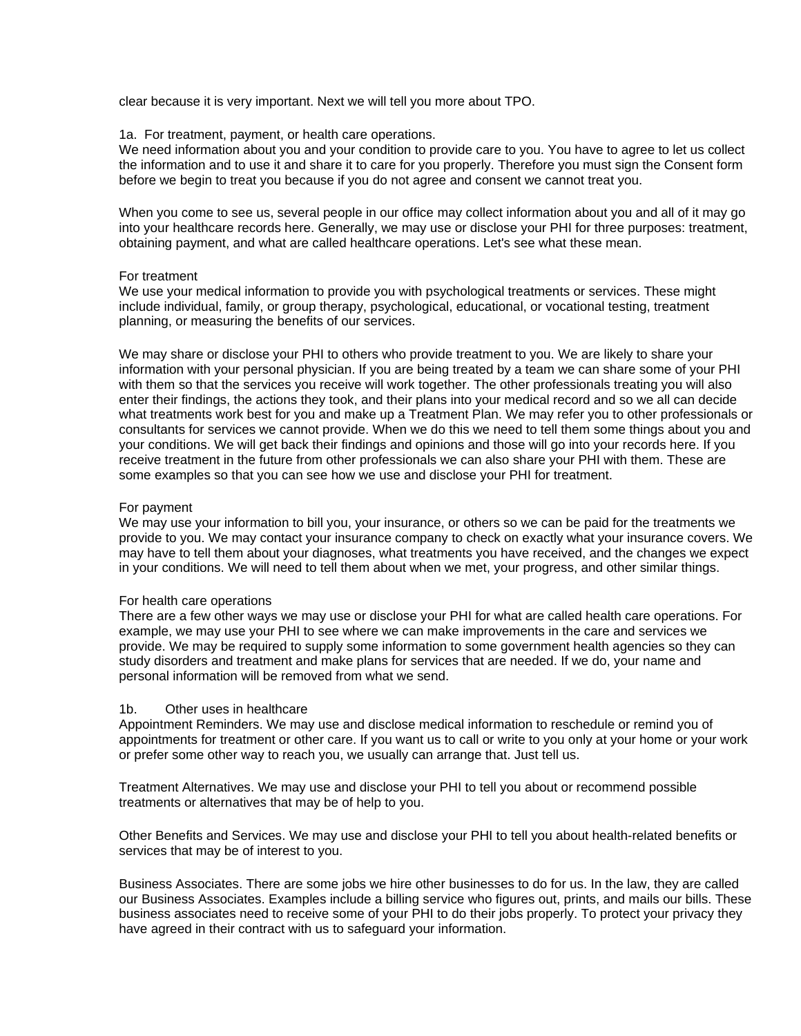clear because it is very important. Next we will tell you more about TPO.

## 1a. For treatment, payment, or health care operations.

We need information about you and your condition to provide care to you. You have to agree to let us collect the information and to use it and share it to care for you properly. Therefore you must sign the Consent form before we begin to treat you because if you do not agree and consent we cannot treat you.

When you come to see us, several people in our office may collect information about you and all of it may go into your healthcare records here. Generally, we may use or disclose your PHI for three purposes: treatment, obtaining payment, and what are called healthcare operations. Let's see what these mean.

#### For treatment

We use your medical information to provide you with psychological treatments or services. These might include individual, family, or group therapy, psychological, educational, or vocational testing, treatment planning, or measuring the benefits of our services.

We may share or disclose your PHI to others who provide treatment to you. We are likely to share your information with your personal physician. If you are being treated by a team we can share some of your PHI with them so that the services you receive will work together. The other professionals treating you will also enter their findings, the actions they took, and their plans into your medical record and so we all can decide what treatments work best for you and make up a Treatment Plan. We may refer you to other professionals or consultants for services we cannot provide. When we do this we need to tell them some things about you and your conditions. We will get back their findings and opinions and those will go into your records here. If you receive treatment in the future from other professionals we can also share your PHI with them. These are some examples so that you can see how we use and disclose your PHI for treatment.

## For payment

We may use your information to bill you, your insurance, or others so we can be paid for the treatments we provide to you. We may contact your insurance company to check on exactly what your insurance covers. We may have to tell them about your diagnoses, what treatments you have received, and the changes we expect in your conditions. We will need to tell them about when we met, your progress, and other similar things.

## For health care operations

There are a few other ways we may use or disclose your PHI for what are called health care operations. For example, we may use your PHI to see where we can make improvements in the care and services we provide. We may be required to supply some information to some government health agencies so they can study disorders and treatment and make plans for services that are needed. If we do, your name and personal information will be removed from what we send.

## 1b. Other uses in healthcare

Appointment Reminders. We may use and disclose medical information to reschedule or remind you of appointments for treatment or other care. If you want us to call or write to you only at your home or your work or prefer some other way to reach you, we usually can arrange that. Just tell us.

Treatment Alternatives. We may use and disclose your PHI to tell you about or recommend possible treatments or alternatives that may be of help to you.

Other Benefits and Services. We may use and disclose your PHI to tell you about health-related benefits or services that may be of interest to you.

Business Associates. There are some jobs we hire other businesses to do for us. In the law, they are called our Business Associates. Examples include a billing service who figures out, prints, and mails our bills. These business associates need to receive some of your PHI to do their jobs properly. To protect your privacy they have agreed in their contract with us to safeguard your information.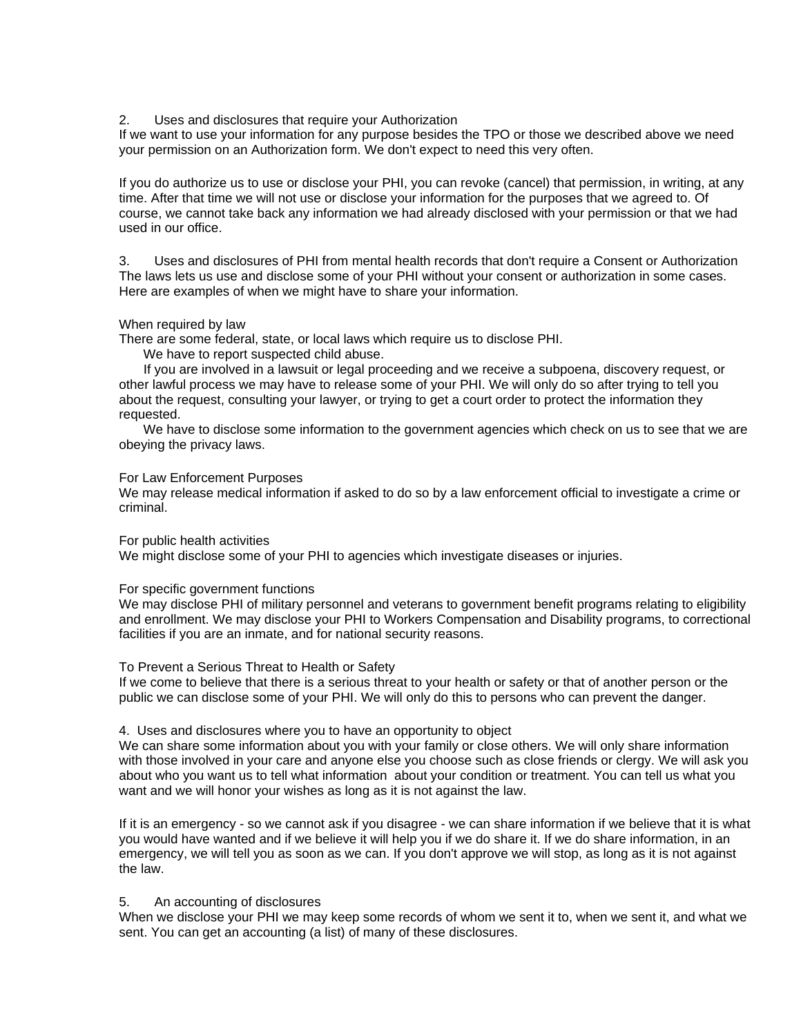#### 2. Uses and disclosures that require your Authorization

If we want to use your information for any purpose besides the TPO or those we described above we need your permission on an Authorization form. We don't expect to need this very often.

If you do authorize us to use or disclose your PHI, you can revoke (cancel) that permission, in writing, at any time. After that time we will not use or disclose your information for the purposes that we agreed to. Of course, we cannot take back any information we had already disclosed with your permission or that we had used in our office.

3. Uses and disclosures of PHI from mental health records that don't require a Consent or Authorization The laws lets us use and disclose some of your PHI without your consent or authorization in some cases. Here are examples of when we might have to share your information.

#### When required by law

There are some federal, state, or local laws which require us to disclose PHI.

We have to report suspected child abuse.

 If you are involved in a lawsuit or legal proceeding and we receive a subpoena, discovery request, or other lawful process we may have to release some of your PHI. We will only do so after trying to tell you about the request, consulting your lawyer, or trying to get a court order to protect the information they requested.

 We have to disclose some information to the government agencies which check on us to see that we are obeying the privacy laws.

## For Law Enforcement Purposes

We may release medical information if asked to do so by a law enforcement official to investigate a crime or criminal.

For public health activities

We might disclose some of your PHI to agencies which investigate diseases or injuries.

#### For specific government functions

We may disclose PHI of military personnel and veterans to government benefit programs relating to eligibility and enrollment. We may disclose your PHI to Workers Compensation and Disability programs, to correctional facilities if you are an inmate, and for national security reasons.

#### To Prevent a Serious Threat to Health or Safety

If we come to believe that there is a serious threat to your health or safety or that of another person or the public we can disclose some of your PHI. We will only do this to persons who can prevent the danger.

#### 4. Uses and disclosures where you to have an opportunity to object

We can share some information about you with your family or close others. We will only share information with those involved in your care and anyone else you choose such as close friends or clergy. We will ask you about who you want us to tell what information about your condition or treatment. You can tell us what you want and we will honor your wishes as long as it is not against the law.

If it is an emergency - so we cannot ask if you disagree - we can share information if we believe that it is what you would have wanted and if we believe it will help you if we do share it. If we do share information, in an emergency, we will tell you as soon as we can. If you don't approve we will stop, as long as it is not against the law.

#### 5. An accounting of disclosures

When we disclose your PHI we may keep some records of whom we sent it to, when we sent it, and what we sent. You can get an accounting (a list) of many of these disclosures.